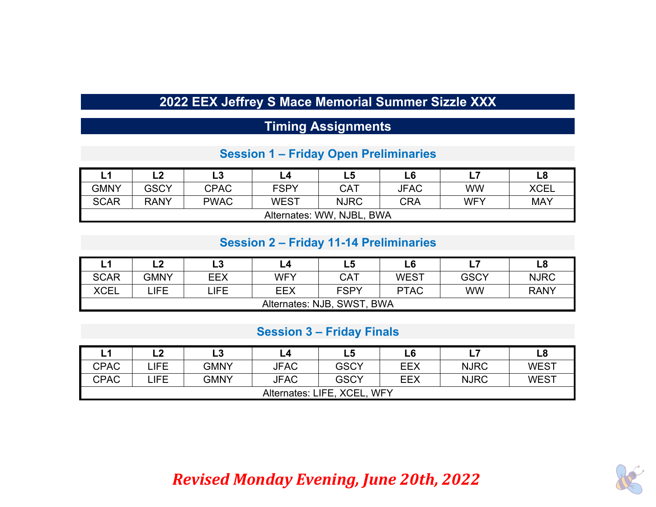## **2022 EEX Jeffrey S Mace Memorial Summer Sizzle XXX**

## **Timing Assignments**

#### **Session 1 – Frida y Open Preliminaries**

|             | L2                        | L3          |             | L5          | L6          |            | $\mathsf{L8}$ |  |  |  |
|-------------|---------------------------|-------------|-------------|-------------|-------------|------------|---------------|--|--|--|
| <b>GMNY</b> | <b>GSCY</b>               | <b>CPAC</b> | <b>FSPY</b> | <b>CAT</b>  | <b>JFAC</b> | <b>WW</b>  | <b>XCEL</b>   |  |  |  |
| <b>SCAR</b> | <b>RANY</b>               | <b>PWAC</b> | <b>WEST</b> | <b>NJRC</b> | <b>CRA</b>  | <b>WFY</b> | <b>MAY</b>    |  |  |  |
|             | Alternates: WW, NJBL, BWA |             |             |             |             |            |               |  |  |  |

#### **Session 2 – Frida y 11-14 Preliminaries**

|             | L2                         | L3   |     | L5          | L <sub>6</sub> |             | L8          |  |  |  |
|-------------|----------------------------|------|-----|-------------|----------------|-------------|-------------|--|--|--|
| <b>SCAR</b> | <b>GMNY</b>                | EEX  | WFY | <b>CAT</b>  | WEST           | <b>GSCY</b> | <b>NJRC</b> |  |  |  |
| <b>XCEL</b> | <b>JFE</b>                 | LIFE | EEX | <b>FSPY</b> | <b>PTAC</b>    | WW          | <b>RANY</b> |  |  |  |
|             | Alternates: NJB, SWST, BWA |      |     |             |                |             |             |  |  |  |

#### **Session 3 – Frida y Finals**

|             | L2                                    | $\mathsf{\scriptstyle \perp}3$ |             | L5          | L6  |             | L8          |  |  |  |
|-------------|---------------------------------------|--------------------------------|-------------|-------------|-----|-------------|-------------|--|--|--|
| <b>CPAC</b> | LIFE.                                 | <b>GMNY</b>                    | <b>JFAC</b> | <b>GSCY</b> | EEX | <b>NJRC</b> | <b>WEST</b> |  |  |  |
| <b>CPAC</b> | LIFE.                                 | <b>GMNY</b>                    | <b>JFAC</b> | <b>GSCY</b> | EEX | <b>NJRC</b> | <b>WEST</b> |  |  |  |
|             | Alternates: LIFE, XCEL,<br><b>WFY</b> |                                |             |             |     |             |             |  |  |  |

# *Revised Monday Evening, June 20th, 2022*

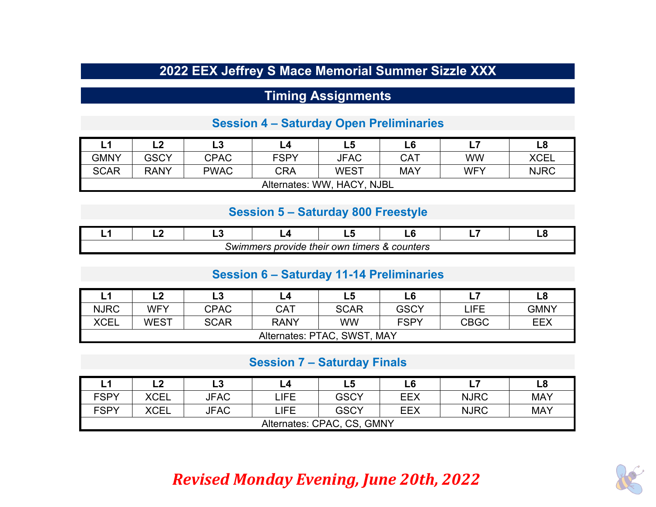## **2022 EEX Jeffrey S Mace Memorial Summer Sizzle XXX**

### **Timing Assignments**

#### **Session 4 – Saturda y Open Preliminaries**

|             |                            | L3          |             | L5          | L6         | ь.         | ∟8          |  |  |  |
|-------------|----------------------------|-------------|-------------|-------------|------------|------------|-------------|--|--|--|
| <b>GMNY</b> | <b>GSCY</b>                | <b>CPAC</b> | <b>FSPY</b> | <b>JFAC</b> | CAT        | WW         | XCEL        |  |  |  |
| <b>SCAR</b> | <b>RANY</b>                | <b>PWAC</b> | CRA         | <b>WEST</b> | <b>MAY</b> | <b>WFY</b> | <b>NJRC</b> |  |  |  |
|             | Alternates: WW, HACY, NJBL |             |             |             |            |            |             |  |  |  |

#### **Session 5 – Saturda y 800 Freest yle**

|                                                                    |  |  | - - | $-$ |  | -- |  |  |  |
|--------------------------------------------------------------------|--|--|-----|-----|--|----|--|--|--|
| & counters<br>timers<br>own<br>provide<br><i>swimmers</i><br>their |  |  |     |     |  |    |  |  |  |

#### **Session 6 – Saturda y 11-14 Preliminaries**

|             | L2                               | ∟3          |             | L5          | L6          |             | L8          |  |  |  |
|-------------|----------------------------------|-------------|-------------|-------------|-------------|-------------|-------------|--|--|--|
| <b>NJRC</b> | <b>WFY</b>                       | <b>CPAC</b> | CAT         | <b>SCAR</b> | <b>GSCY</b> | LIFE        | <b>GMNY</b> |  |  |  |
| <b>XCEL</b> | <b>WEST</b>                      | <b>SCAR</b> | <b>RANY</b> | <b>WW</b>   | <b>FSPY</b> | <b>CBGC</b> | <b>EEX</b>  |  |  |  |
|             | Alternates: PTAC, SWST,<br>, May |             |             |             |             |             |             |  |  |  |

#### **Session 7 – Saturda y Finals**

|             | L2                         | L3          | L4         | L5          | L6  |             | L8         |  |  |  |
|-------------|----------------------------|-------------|------------|-------------|-----|-------------|------------|--|--|--|
| <b>FSPY</b> | <b>XCEL</b>                | <b>JFAC</b> | LIFE.      | <b>GSCY</b> | EEX | <b>NJRC</b> | <b>MAY</b> |  |  |  |
| <b>FSPY</b> | <b>XCEL</b>                | <b>JFAC</b> | <b>JFE</b> | <b>GSCY</b> | EEX | <b>NJRC</b> | <b>MAY</b> |  |  |  |
|             | Alternates: CPAC, CS, GMNY |             |            |             |     |             |            |  |  |  |

# *Revised Monday Evening, June 20th, 2022*